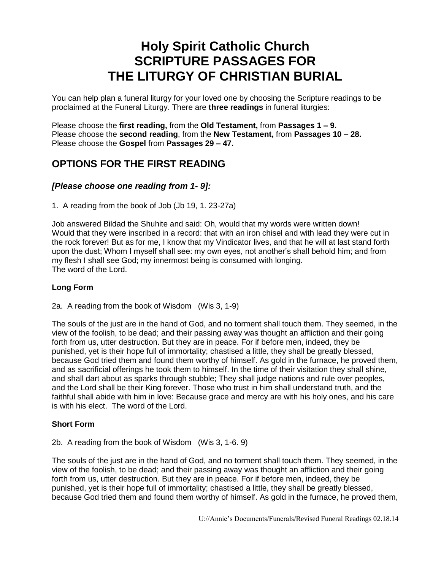# **Holy Spirit Catholic Church SCRIPTURE PASSAGES FOR THE LITURGY OF CHRISTIAN BURIAL**

You can help plan a funeral liturgy for your loved one by choosing the Scripture readings to be proclaimed at the Funeral Liturgy. There are **three readings** in funeral liturgies:

Please choose the **first reading,** from the **Old Testament,** from **Passages 1 – 9.** Please choose the **second reading**, from the **New Testament,** from **Passages 10 – 28.** Please choose the **Gospel** from **Passages 29 – 47.**

# **OPTIONS FOR THE FIRST READING**

### *[Please choose one reading from 1- 9]:*

1. A reading from the book of Job (Jb 19, 1. 23-27a)

Job answered Bildad the Shuhite and said: Oh, would that my words were written down! Would that they were inscribed in a record: that with an iron chisel and with lead they were cut in the rock forever! But as for me, I know that my Vindicator lives, and that he will at last stand forth upon the dust; Whom I myself shall see: my own eyes, not another's shall behold him; and from my flesh I shall see God; my innermost being is consumed with longing. The word of the Lord.

#### **Long Form**

2a. A reading from the book of Wisdom (Wis 3, 1-9)

The souls of the just are in the hand of God, and no torment shall touch them. They seemed, in the view of the foolish, to be dead; and their passing away was thought an affliction and their going forth from us, utter destruction. But they are in peace. For if before men, indeed, they be punished, yet is their hope full of immortality; chastised a little, they shall be greatly blessed, because God tried them and found them worthy of himself. As gold in the furnace, he proved them, and as sacrificial offerings he took them to himself. In the time of their visitation they shall shine, and shall dart about as sparks through stubble; They shall judge nations and rule over peoples, and the Lord shall be their King forever. Those who trust in him shall understand truth, and the faithful shall abide with him in love: Because grace and mercy are with his holy ones, and his care is with his elect. The word of the Lord.

### **Short Form**

2b. A reading from the book of Wisdom (Wis 3, 1-6. 9)

The souls of the just are in the hand of God, and no torment shall touch them. They seemed, in the view of the foolish, to be dead; and their passing away was thought an affliction and their going forth from us, utter destruction. But they are in peace. For if before men, indeed, they be punished, yet is their hope full of immortality; chastised a little, they shall be greatly blessed, because God tried them and found them worthy of himself. As gold in the furnace, he proved them,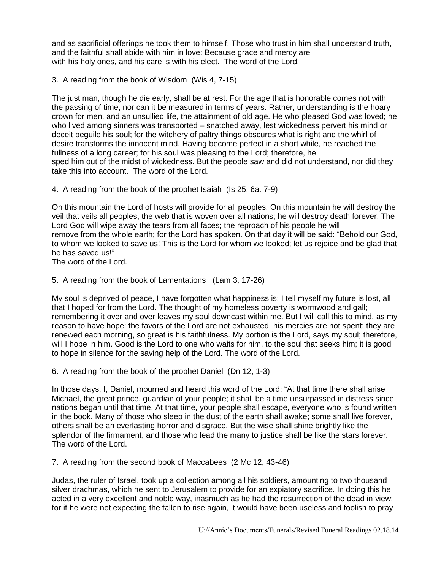and as sacrificial offerings he took them to himself. Those who trust in him shall understand truth, and the faithful shall abide with him in love: Because grace and mercy are with his holy ones, and his care is with his elect. The word of the Lord.

3. A reading from the book of Wisdom (Wis 4, 7-15)

The just man, though he die early, shall be at rest. For the age that is honorable comes not with the passing of time, nor can it be measured in terms of years. Rather, understanding is the hoary crown for men, and an unsullied life, the attainment of old age. He who pleased God was loved; he who lived among sinners was transported – snatched away, lest wickedness pervert his mind or deceit beguile his soul; for the witchery of paltry things obscures what is right and the whirl of desire transforms the innocent mind. Having become perfect in a short while, he reached the fullness of a long career; for his soul was pleasing to the Lord; therefore, he sped him out of the midst of wickedness. But the people saw and did not understand, nor did they take this into account. The word of the Lord.

4. A reading from the book of the prophet Isaiah (Is 25, 6a. 7-9)

On this mountain the Lord of hosts will provide for all peoples. On this mountain he will destroy the veil that veils all peoples, the web that is woven over all nations; he will destroy death forever. The Lord God will wipe away the tears from all faces; the reproach of his people he will remove from the whole earth; for the Lord has spoken. On that day it will be said: "Behold our God, to whom we looked to save us! This is the Lord for whom we looked; let us rejoice and be glad that he has saved us!" The word of the Lord.

5. A reading from the book of Lamentations (Lam 3, 17-26)

My soul is deprived of peace, I have forgotten what happiness is; I tell myself my future is lost, all that I hoped for from the Lord. The thought of my homeless poverty is wormwood and gall; remembering it over and over leaves my soul downcast within me. But I will call this to mind, as my reason to have hope: the favors of the Lord are not exhausted, his mercies are not spent; they are renewed each morning, so great is his faithfulness. My portion is the Lord, says my soul; therefore, will I hope in him. Good is the Lord to one who waits for him, to the soul that seeks him; it is good to hope in silence for the saving help of the Lord. The word of the Lord.

6. A reading from the book of the prophet Daniel (Dn 12, 1-3)

In those days, I, Daniel, mourned and heard this word of the Lord: "At that time there shall arise Michael, the great prince, guardian of your people; it shall be a time unsurpassed in distress since nations began until that time. At that time, your people shall escape, everyone who is found written in the book. Many of those who sleep in the dust of the earth shall awake; some shall live forever, others shall be an everlasting horror and disgrace. But the wise shall shine brightly like the splendor of the firmament, and those who lead the many to justice shall be like the stars forever. The word of the Lord.

7. A reading from the second book of Maccabees (2 Mc 12, 43-46)

Judas, the ruler of Israel, took up a collection among all his soldiers, amounting to two thousand silver drachmas, which he sent to Jerusalem to provide for an expiatory sacrifice. In doing this he acted in a very excellent and noble way, inasmuch as he had the resurrection of the dead in view; for if he were not expecting the fallen to rise again, it would have been useless and foolish to pray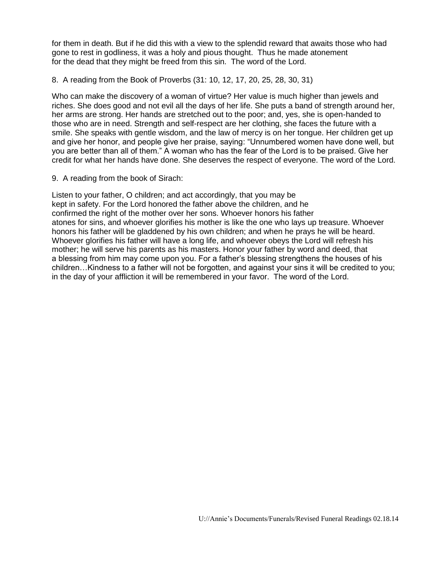for them in death. But if he did this with a view to the splendid reward that awaits those who had gone to rest in godliness, it was a holy and pious thought. Thus he made atonement for the dead that they might be freed from this sin. The word of the Lord.

8. A reading from the Book of Proverbs (31: 10, 12, 17, 20, 25, 28, 30, 31)

Who can make the discovery of a woman of virtue? Her value is much higher than jewels and riches. She does good and not evil all the days of her life. She puts a band of strength around her, her arms are strong. Her hands are stretched out to the poor; and, yes, she is open-handed to those who are in need. Strength and self-respect are her clothing, she faces the future with a smile. She speaks with gentle wisdom, and the law of mercy is on her tongue. Her children get up and give her honor, and people give her praise, saying: "Unnumbered women have done well, but you are better than all of them." A woman who has the fear of the Lord is to be praised. Give her credit for what her hands have done. She deserves the respect of everyone. The word of the Lord.

9. A reading from the book of Sirach:

Listen to your father, O children; and act accordingly, that you may be kept in safety. For the Lord honored the father above the children, and he confirmed the right of the mother over her sons. Whoever honors his father atones for sins, and whoever glorifies his mother is like the one who lays up treasure. Whoever honors his father will be gladdened by his own children; and when he prays he will be heard. Whoever glorifies his father will have a long life, and whoever obeys the Lord will refresh his mother; he will serve his parents as his masters. Honor your father by word and deed, that a blessing from him may come upon you. For a father's blessing strengthens the houses of his children…Kindness to a father will not be forgotten, and against your sins it will be credited to you; in the day of your affliction it will be remembered in your favor. The word of the Lord.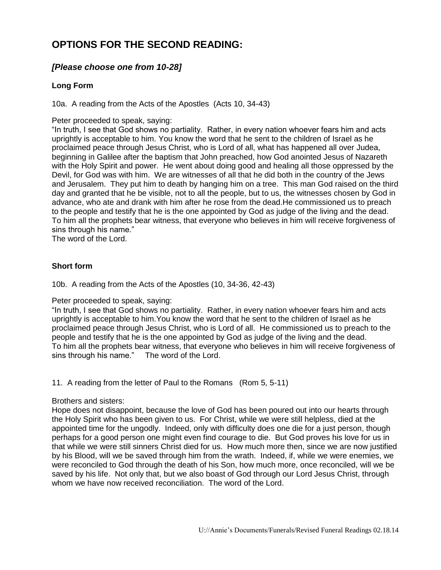# **OPTIONS FOR THE SECOND READING:**

## *[Please choose one from 10-28]*

#### **Long Form**

10a. A reading from the Acts of the Apostles (Acts 10, 34-43)

#### Peter proceeded to speak, saying:

"In truth, I see that God shows no partiality. Rather, in every nation whoever fears him and acts uprightly is acceptable to him. You know the word that he sent to the children of Israel as he proclaimed peace through Jesus Christ, who is Lord of all, what has happened all over Judea, beginning in Galilee after the baptism that John preached, how God anointed Jesus of Nazareth with the Holy Spirit and power. He went about doing good and healing all those oppressed by the Devil, for God was with him. We are witnesses of all that he did both in the country of the Jews and Jerusalem. They put him to death by hanging him on a tree. This man God raised on the third day and granted that he be visible, not to all the people, but to us, the witnesses chosen by God in advance, who ate and drank with him after he rose from the dead.He commissioned us to preach to the people and testify that he is the one appointed by God as judge of the living and the dead. To him all the prophets bear witness, that everyone who believes in him will receive forgiveness of sins through his name."

The word of the Lord.

#### **Short form**

10b. A reading from the Acts of the Apostles (10, 34-36, 42-43)

Peter proceeded to speak, saying:

"In truth, I see that God shows no partiality. Rather, in every nation whoever fears him and acts uprightly is acceptable to him.You know the word that he sent to the children of Israel as he proclaimed peace through Jesus Christ, who is Lord of all. He commissioned us to preach to the people and testify that he is the one appointed by God as judge of the living and the dead. To him all the prophets bear witness, that everyone who believes in him will receive forgiveness of sins through his name." The word of the Lord.

11. A reading from the letter of Paul to the Romans (Rom 5, 5-11)

Brothers and sisters:

Hope does not disappoint, because the love of God has been poured out into our hearts through the Holy Spirit who has been given to us. For Christ, while we were still helpless, died at the appointed time for the ungodly. Indeed, only with difficulty does one die for a just person, though perhaps for a good person one might even find courage to die. But God proves his love for us in that while we were still sinners Christ died for us. How much more then, since we are now justified by his Blood, will we be saved through him from the wrath. Indeed, if, while we were enemies, we were reconciled to God through the death of his Son, how much more, once reconciled, will we be saved by his life. Not only that, but we also boast of God through our Lord Jesus Christ, through whom we have now received reconciliation. The word of the Lord.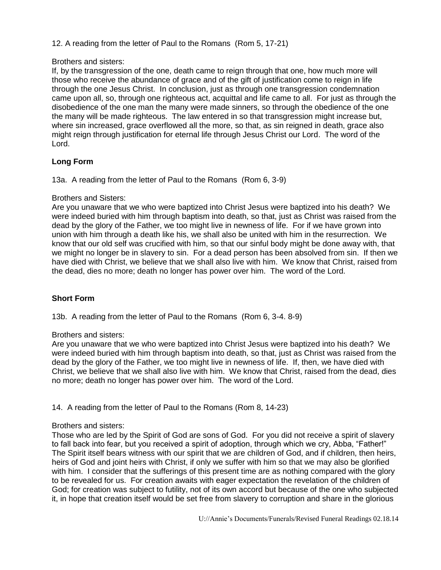12. A reading from the letter of Paul to the Romans (Rom 5, 17-21)

#### Brothers and sisters:

If, by the transgression of the one, death came to reign through that one, how much more will those who receive the abundance of grace and of the gift of justification come to reign in life through the one Jesus Christ. In conclusion, just as through one transgression condemnation came upon all, so, through one righteous act, acquittal and life came to all. For just as through the disobedience of the one man the many were made sinners, so through the obedience of the one the many will be made righteous. The law entered in so that transgression might increase but, where sin increased, grace overflowed all the more, so that, as sin reigned in death, grace also might reign through justification for eternal life through Jesus Christ our Lord. The word of the Lord.

### **Long Form**

13a. A reading from the letter of Paul to the Romans (Rom 6, 3-9)

#### Brothers and Sisters:

Are you unaware that we who were baptized into Christ Jesus were baptized into his death? We were indeed buried with him through baptism into death, so that, just as Christ was raised from the dead by the glory of the Father, we too might live in newness of life. For if we have grown into union with him through a death like his, we shall also be united with him in the resurrection. We know that our old self was crucified with him, so that our sinful body might be done away with, that we might no longer be in slavery to sin. For a dead person has been absolved from sin. If then we have died with Christ, we believe that we shall also live with him. We know that Christ, raised from the dead, dies no more; death no longer has power over him. The word of the Lord.

### **Short Form**

13b. A reading from the letter of Paul to the Romans (Rom 6, 3-4. 8-9)

#### Brothers and sisters:

Are you unaware that we who were baptized into Christ Jesus were baptized into his death? We were indeed buried with him through baptism into death, so that, just as Christ was raised from the dead by the glory of the Father, we too might live in newness of life. If, then, we have died with Christ, we believe that we shall also live with him. We know that Christ, raised from the dead, dies no more; death no longer has power over him. The word of the Lord.

14. A reading from the letter of Paul to the Romans (Rom 8, 14-23)

#### Brothers and sisters:

Those who are led by the Spirit of God are sons of God. For you did not receive a spirit of slavery to fall back into fear, but you received a spirit of adoption, through which we cry, Abba, "Father!" The Spirit itself bears witness with our spirit that we are children of God, and if children, then heirs, heirs of God and joint heirs with Christ, if only we suffer with him so that we may also be glorified with him. I consider that the sufferings of this present time are as nothing compared with the glory to be revealed for us. For creation awaits with eager expectation the revelation of the children of God; for creation was subject to futility, not of its own accord but because of the one who subjected it, in hope that creation itself would be set free from slavery to corruption and share in the glorious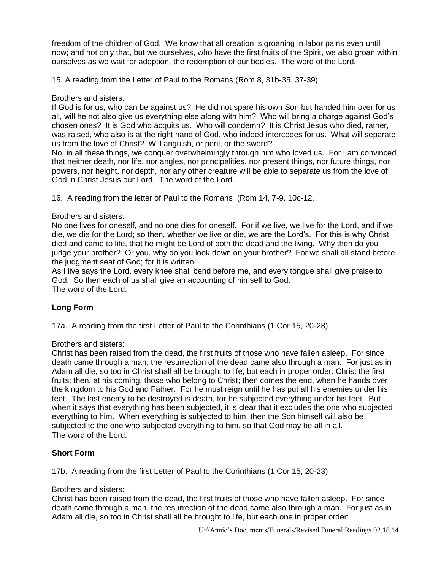freedom of the children of God. We know that all creation is groaning in labor pains even until now; and not only that, but we ourselves, who have the first fruits of the Spirit, we also groan within ourselves as we wait for adoption, the redemption of our bodies. The word of the Lord.

15. A reading from the Letter of Paul to the Romans (Rom 8, 31b-35. 37-39)

Brothers and sisters:

If God is for us, who can be against us? He did not spare his own Son but handed him over for us all, will he not also give us everything else along with him? Who will bring a charge against God's chosen ones? It is God who acquits us. Who will condemn? It is Christ Jesus who died, rather, was raised, who also is at the right hand of God, who indeed intercedes for us. What will separate us from the love of Christ? Will anguish, or peril, or the sword?

No, in all these things, we conquer overwhelmingly through him who loved us. For I am convinced that neither death, nor life, nor angles, nor principalities, nor present things, nor future things, nor powers, nor height, nor depth, nor any other creature will be able to separate us from the love of God in Christ Jesus our Lord. The word of the Lord.

16. A reading from the letter of Paul to the Romans (Rom 14, 7-9. 10c-12.

#### Brothers and sisters:

No one lives for oneself, and no one dies for oneself. For if we live, we live for the Lord, and if we die, we die for the Lord; so then, whether we live or die, we are the Lord's. For this is why Christ died and came to life, that he might be Lord of both the dead and the living. Why then do you judge your brother? Or you, why do you look down on your brother? For we shall all stand before the judgment seat of God; for it is written:

As I live says the Lord, every knee shall bend before me, and every tongue shall give praise to God. So then each of us shall give an accounting of himself to God. The word of the Lord.

### **Long Form**

17a. A reading from the first Letter of Paul to the Corinthians (1 Cor 15, 20-28)

#### Brothers and sisters:

Christ has been raised from the dead, the first fruits of those who have fallen asleep. For since death came through a man, the resurrection of the dead came also through a man. For just as in Adam all die, so too in Christ shall all be brought to life, but each in proper order: Christ the first fruits; then, at his coming, those who belong to Christ; then comes the end, when he hands over the kingdom to his God and Father. For he must reign until he has put all his enemies under his feet. The last enemy to be destroyed is death, for he subjected everything under his feet. But when it says that everything has been subjected, it is clear that it excludes the one who subjected everything to him. When everything is subjected to him, then the Son himself will also be subjected to the one who subjected everything to him, so that God may be all in all. The word of the Lord.

### **Short Form**

17b. A reading from the first Letter of Paul to the Corinthians (1 Cor 15, 20-23)

#### Brothers and sisters:

Christ has been raised from the dead, the first fruits of those who have fallen asleep. For since death came through a man, the resurrection of the dead came also through a man. For just as in Adam all die, so too in Christ shall all be brought to life, but each one in proper order: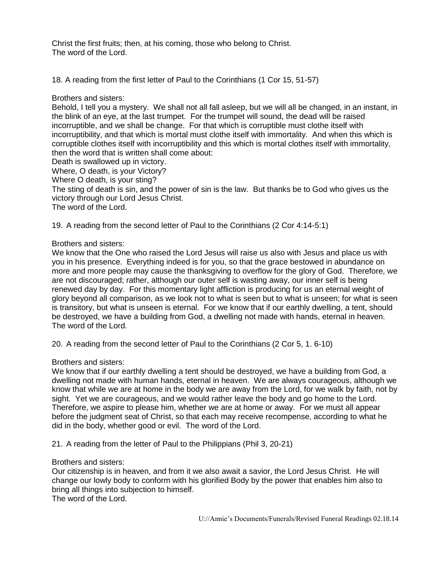Christ the first fruits; then, at his coming, those who belong to Christ. The word of the Lord.

18. A reading from the first letter of Paul to the Corinthians (1 Cor 15, 51-57)

#### Brothers and sisters:

Behold, I tell you a mystery. We shall not all fall asleep, but we will all be changed, in an instant, in the blink of an eye, at the last trumpet. For the trumpet will sound, the dead will be raised incorruptible, and we shall be change. For that which is corruptible must clothe itself with incorruptibility, and that which is mortal must clothe itself with immortality. And when this which is corruptible clothes itself with incorruptibility and this which is mortal clothes itself with immortality, then the word that is written shall come about:

Death is swallowed up in victory.

Where, O death, is your Victory?

Where O death, is your sting?

The sting of death is sin, and the power of sin is the law. But thanks be to God who gives us the victory through our Lord Jesus Christ.

The word of the Lord.

19. A reading from the second letter of Paul to the Corinthians (2 Cor 4:14-5:1)

#### Brothers and sisters:

We know that the One who raised the Lord Jesus will raise us also with Jesus and place us with you in his presence. Everything indeed is for you, so that the grace bestowed in abundance on more and more people may cause the thanksgiving to overflow for the glory of God. Therefore, we are not discouraged; rather, although our outer self is wasting away, our inner self is being renewed day by day. For this momentary light affliction is producing for us an eternal weight of glory beyond all comparison, as we look not to what is seen but to what is unseen; for what is seen is transitory, but what is unseen is eternal. For we know that if our earthly dwelling, a tent, should be destroyed, we have a building from God, a dwelling not made with hands, eternal in heaven. The word of the Lord.

20. A reading from the second letter of Paul to the Corinthians (2 Cor 5, 1. 6-10)

Brothers and sisters:

We know that if our earthly dwelling a tent should be destroyed, we have a building from God, a dwelling not made with human hands, eternal in heaven. We are always courageous, although we know that while we are at home in the body we are away from the Lord, for we walk by faith, not by sight. Yet we are courageous, and we would rather leave the body and go home to the Lord. Therefore, we aspire to please him, whether we are at home or away. For we must all appear before the judgment seat of Christ, so that each may receive recompense, according to what he did in the body, whether good or evil. The word of the Lord.

21. A reading from the letter of Paul to the Philippians (Phil 3, 20-21)

#### Brothers and sisters:

Our citizenship is in heaven, and from it we also await a savior, the Lord Jesus Christ. He will change our lowly body to conform with his glorified Body by the power that enables him also to bring all things into subjection to himself. The word of the Lord.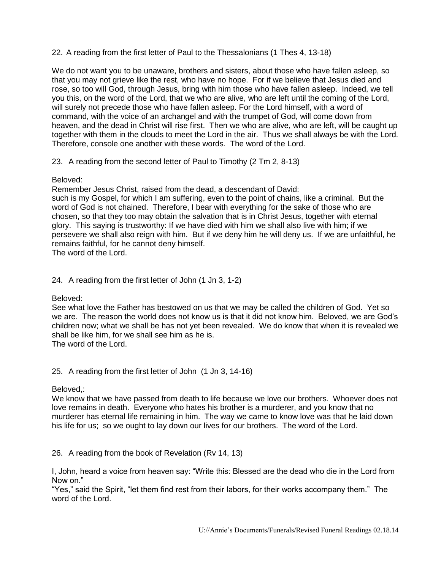22. A reading from the first letter of Paul to the Thessalonians (1 Thes 4, 13-18)

We do not want you to be unaware, brothers and sisters, about those who have fallen asleep, so that you may not grieve like the rest, who have no hope. For if we believe that Jesus died and rose, so too will God, through Jesus, bring with him those who have fallen asleep. Indeed, we tell you this, on the word of the Lord, that we who are alive, who are left until the coming of the Lord, will surely not precede those who have fallen asleep. For the Lord himself, with a word of command, with the voice of an archangel and with the trumpet of God, will come down from heaven, and the dead in Christ will rise first. Then we who are alive, who are left, will be caught up together with them in the clouds to meet the Lord in the air. Thus we shall always be with the Lord. Therefore, console one another with these words. The word of the Lord.

23. A reading from the second letter of Paul to Timothy (2 Tm 2, 8-13)

#### Beloved:

Remember Jesus Christ, raised from the dead, a descendant of David: such is my Gospel, for which I am suffering, even to the point of chains, like a criminal. But the word of God is not chained. Therefore, I bear with everything for the sake of those who are chosen, so that they too may obtain the salvation that is in Christ Jesus, together with eternal glory. This saying is trustworthy: If we have died with him we shall also live with him; if we persevere we shall also reign with him. But if we deny him he will deny us. If we are unfaithful, he remains faithful, for he cannot deny himself. The word of the Lord.

24. A reading from the first letter of John (1 Jn 3, 1-2)

#### Beloved:

See what love the Father has bestowed on us that we may be called the children of God. Yet so we are. The reason the world does not know us is that it did not know him. Beloved, we are God's children now; what we shall be has not yet been revealed. We do know that when it is revealed we shall be like him, for we shall see him as he is. The word of the Lord.

25. A reading from the first letter of John (1 Jn 3, 14-16)

Beloved,:

We know that we have passed from death to life because we love our brothers. Whoever does not love remains in death. Everyone who hates his brother is a murderer, and you know that no murderer has eternal life remaining in him. The way we came to know love was that he laid down his life for us; so we ought to lay down our lives for our brothers. The word of the Lord.

26. A reading from the book of Revelation (Rv 14, 13)

I, John, heard a voice from heaven say: "Write this: Blessed are the dead who die in the Lord from Now on "

"Yes," said the Spirit, "let them find rest from their labors, for their works accompany them." The word of the Lord.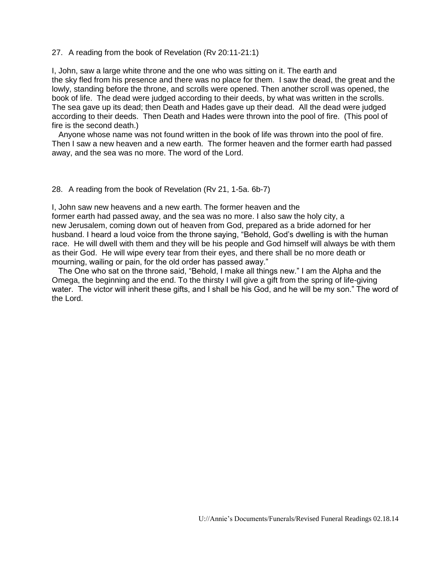#### 27. A reading from the book of Revelation (Rv 20:11-21:1)

I, John, saw a large white throne and the one who was sitting on it. The earth and the sky fled from his presence and there was no place for them. I saw the dead, the great and the lowly, standing before the throne, and scrolls were opened. Then another scroll was opened, the book of life. The dead were judged according to their deeds, by what was written in the scrolls. The sea gave up its dead; then Death and Hades gave up their dead. All the dead were judged according to their deeds. Then Death and Hades were thrown into the pool of fire. (This pool of fire is the second death.)

 Anyone whose name was not found written in the book of life was thrown into the pool of fire. Then I saw a new heaven and a new earth. The former heaven and the former earth had passed away, and the sea was no more. The word of the Lord.

#### 28. A reading from the book of Revelation (Rv 21, 1-5a. 6b-7)

I, John saw new heavens and a new earth. The former heaven and the former earth had passed away, and the sea was no more. I also saw the holy city, a new Jerusalem, coming down out of heaven from God, prepared as a bride adorned for her husband. I heard a loud voice from the throne saying, "Behold, God's dwelling is with the human race. He will dwell with them and they will be his people and God himself will always be with them as their God. He will wipe every tear from their eyes, and there shall be no more death or mourning, wailing or pain, for the old order has passed away."

 The One who sat on the throne said, "Behold, I make all things new." I am the Alpha and the Omega, the beginning and the end. To the thirsty I will give a gift from the spring of life-giving water. The victor will inherit these gifts, and I shall be his God, and he will be my son." The word of the Lord.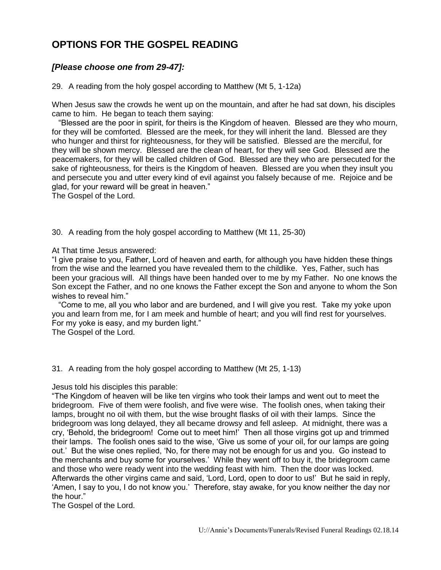# **OPTIONS FOR THE GOSPEL READING**

### *[Please choose one from 29-47]:*

29. A reading from the holy gospel according to Matthew (Mt 5, 1-12a)

When Jesus saw the crowds he went up on the mountain, and after he had sat down, his disciples came to him. He began to teach them saying:

 "Blessed are the poor in spirit, for theirs is the Kingdom of heaven. Blessed are they who mourn, for they will be comforted. Blessed are the meek, for they will inherit the land. Blessed are they who hunger and thirst for righteousness, for they will be satisfied. Blessed are the merciful, for they will be shown mercy. Blessed are the clean of heart, for they will see God. Blessed are the peacemakers, for they will be called children of God. Blessed are they who are persecuted for the sake of righteousness, for theirs is the Kingdom of heaven. Blessed are you when they insult you and persecute you and utter every kind of evil against you falsely because of me. Rejoice and be glad, for your reward will be great in heaven."

The Gospel of the Lord.

30. A reading from the holy gospel according to Matthew (Mt 11, 25-30)

At That time Jesus answered:

"I give praise to you, Father, Lord of heaven and earth, for although you have hidden these things from the wise and the learned you have revealed them to the childlike. Yes, Father, such has been your gracious will. All things have been handed over to me by my Father. No one knows the Son except the Father, and no one knows the Father except the Son and anyone to whom the Son wishes to reveal him."

 "Come to me, all you who labor and are burdened, and I will give you rest. Take my yoke upon you and learn from me, for I am meek and humble of heart; and you will find rest for yourselves. For my yoke is easy, and my burden light."

The Gospel of the Lord.

31. A reading from the holy gospel according to Matthew (Mt 25, 1-13)

Jesus told his disciples this parable:

"The Kingdom of heaven will be like ten virgins who took their lamps and went out to meet the bridegroom. Five of them were foolish, and five were wise. The foolish ones, when taking their lamps, brought no oil with them, but the wise brought flasks of oil with their lamps. Since the bridegroom was long delayed, they all became drowsy and fell asleep. At midnight, there was a cry, 'Behold, the bridegroom! Come out to meet him!' Then all those virgins got up and trimmed their lamps. The foolish ones said to the wise, 'Give us some of your oil, for our lamps are going out.' But the wise ones replied, 'No, for there may not be enough for us and you. Go instead to the merchants and buy some for yourselves.' While they went off to buy it, the bridegroom came and those who were ready went into the wedding feast with him. Then the door was locked. Afterwards the other virgins came and said, 'Lord, Lord, open to door to us!' But he said in reply, 'Amen, I say to you, I do not know you.' Therefore, stay awake, for you know neither the day nor the hour."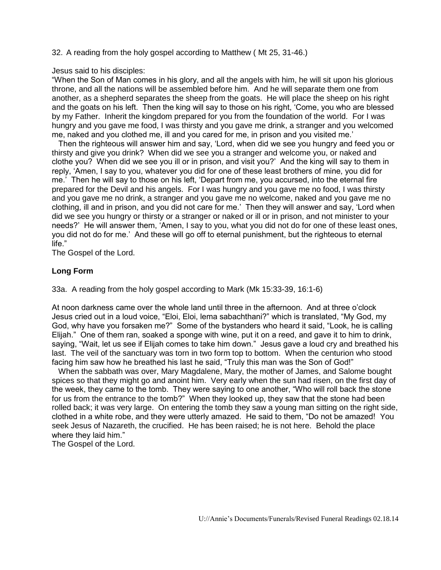32. A reading from the holy gospel according to Matthew ( Mt 25, 31-46.)

Jesus said to his disciples:

"When the Son of Man comes in his glory, and all the angels with him, he will sit upon his glorious throne, and all the nations will be assembled before him. And he will separate them one from another, as a shepherd separates the sheep from the goats. He will place the sheep on his right and the goats on his left. Then the king will say to those on his right, 'Come, you who are blessed by my Father. Inherit the kingdom prepared for you from the foundation of the world. For I was hungry and you gave me food, I was thirsty and you gave me drink, a stranger and you welcomed me, naked and you clothed me, ill and you cared for me, in prison and you visited me.'

 Then the righteous will answer him and say, 'Lord, when did we see you hungry and feed you or thirsty and give you drink? When did we see you a stranger and welcome you, or naked and clothe you? When did we see you ill or in prison, and visit you?' And the king will say to them in reply, 'Amen, I say to you, whatever you did for one of these least brothers of mine, you did for me.' Then he will say to those on his left, 'Depart from me, you accursed, into the eternal fire prepared for the Devil and his angels. For I was hungry and you gave me no food, I was thirsty and you gave me no drink, a stranger and you gave me no welcome, naked and you gave me no clothing, ill and in prison, and you did not care for me.' Then they will answer and say, 'Lord when did we see you hungry or thirsty or a stranger or naked or ill or in prison, and not minister to your needs?' He will answer them, 'Amen, I say to you, what you did not do for one of these least ones, you did not do for me.' And these will go off to eternal punishment, but the righteous to eternal life."

The Gospel of the Lord.

#### **Long Form**

33a. A reading from the holy gospel according to Mark (Mk 15:33-39, 16:1-6)

At noon darkness came over the whole land until three in the afternoon. And at three o'clock Jesus cried out in a loud voice, "Eloi, Eloi, lema sabachthani?" which is translated, "My God, my God, why have you forsaken me?" Some of the bystanders who heard it said, "Look, he is calling Elijah." One of them ran, soaked a sponge with wine, put it on a reed, and gave it to him to drink, saying, "Wait, let us see if Elijah comes to take him down." Jesus gave a loud cry and breathed his last. The veil of the sanctuary was torn in two form top to bottom. When the centurion who stood facing him saw how he breathed his last he said, "Truly this man was the Son of God!"

 When the sabbath was over, Mary Magdalene, Mary, the mother of James, and Salome bought spices so that they might go and anoint him. Very early when the sun had risen, on the first day of the week, they came to the tomb. They were saying to one another, "Who will roll back the stone for us from the entrance to the tomb?" When they looked up, they saw that the stone had been rolled back; it was very large. On entering the tomb they saw a young man sitting on the right side, clothed in a white robe, and they were utterly amazed. He said to them, "Do not be amazed! You seek Jesus of Nazareth, the crucified. He has been raised; he is not here. Behold the place where they laid him."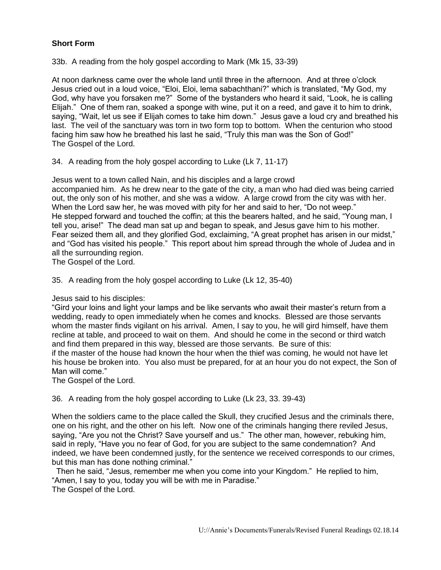#### **Short Form**

33b. A reading from the holy gospel according to Mark (Mk 15, 33-39)

At noon darkness came over the whole land until three in the afternoon. And at three o'clock Jesus cried out in a loud voice, "Eloi, Eloi, lema sabachthani?" which is translated, "My God, my God, why have you forsaken me?" Some of the bystanders who heard it said, "Look, he is calling Elijah." One of them ran, soaked a sponge with wine, put it on a reed, and gave it to him to drink, saying, "Wait, let us see if Elijah comes to take him down." Jesus gave a loud cry and breathed his last. The veil of the sanctuary was torn in two form top to bottom. When the centurion who stood facing him saw how he breathed his last he said, "Truly this man was the Son of God!" The Gospel of the Lord.

34. A reading from the holy gospel according to Luke (Lk 7, 11-17)

Jesus went to a town called Nain, and his disciples and a large crowd accompanied him. As he drew near to the gate of the city, a man who had died was being carried out, the only son of his mother, and she was a widow. A large crowd from the city was with her. When the Lord saw her, he was moved with pity for her and said to her, "Do not weep." He stepped forward and touched the coffin; at this the bearers halted, and he said, "Young man, I tell you, arise!" The dead man sat up and began to speak, and Jesus gave him to his mother. Fear seized them all, and they glorified God, exclaiming, "A great prophet has arisen in our midst," and "God has visited his people." This report about him spread through the whole of Judea and in all the surrounding region.

The Gospel of the Lord.

35. A reading from the holy gospel according to Luke (Lk 12, 35-40)

Jesus said to his disciples:

"Gird your loins and light your lamps and be like servants who await their master's return from a wedding, ready to open immediately when he comes and knocks. Blessed are those servants whom the master finds vigilant on his arrival. Amen, I say to you, he will gird himself, have them recline at table, and proceed to wait on them. And should he come in the second or third watch and find them prepared in this way, blessed are those servants. Be sure of this: if the master of the house had known the hour when the thief was coming, he would not have let his house be broken into. You also must be prepared, for at an hour you do not expect, the Son of Man will come."

The Gospel of the Lord.

36. A reading from the holy gospel according to Luke (Lk 23, 33. 39-43)

When the soldiers came to the place called the Skull, they crucified Jesus and the criminals there, one on his right, and the other on his left. Now one of the criminals hanging there reviled Jesus, saying, "Are you not the Christ? Save yourself and us." The other man, however, rebuking him, said in reply, "Have you no fear of God, for you are subject to the same condemnation? And indeed, we have been condemned justly, for the sentence we received corresponds to our crimes, but this man has done nothing criminal."

 Then he said, "Jesus, remember me when you come into your Kingdom." He replied to him, "Amen, I say to you, today you will be with me in Paradise."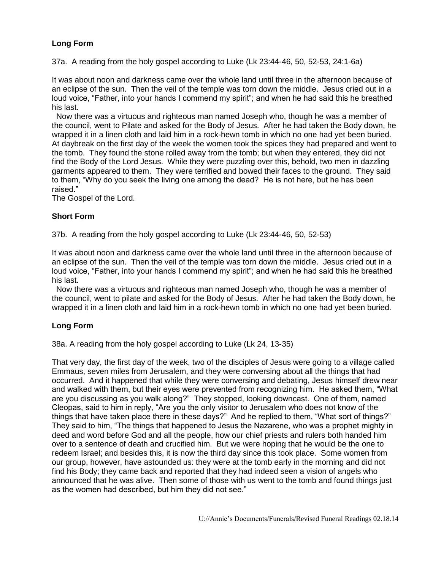### **Long Form**

37a. A reading from the holy gospel according to Luke (Lk 23:44-46, 50, 52-53, 24:1-6a)

It was about noon and darkness came over the whole land until three in the afternoon because of an eclipse of the sun. Then the veil of the temple was torn down the middle. Jesus cried out in a loud voice, "Father, into your hands I commend my spirit"; and when he had said this he breathed his last.

 Now there was a virtuous and righteous man named Joseph who, though he was a member of the council, went to Pilate and asked for the Body of Jesus. After he had taken the Body down, he wrapped it in a linen cloth and laid him in a rock-hewn tomb in which no one had yet been buried. At daybreak on the first day of the week the women took the spices they had prepared and went to the tomb. They found the stone rolled away from the tomb; but when they entered, they did not find the Body of the Lord Jesus. While they were puzzling over this, behold, two men in dazzling garments appeared to them. They were terrified and bowed their faces to the ground. They said to them, "Why do you seek the living one among the dead? He is not here, but he has been raised."

The Gospel of the Lord.

#### **Short Form**

37b. A reading from the holy gospel according to Luke (Lk 23:44-46, 50, 52-53)

It was about noon and darkness came over the whole land until three in the afternoon because of an eclipse of the sun. Then the veil of the temple was torn down the middle. Jesus cried out in a loud voice, "Father, into your hands I commend my spirit"; and when he had said this he breathed his last.

 Now there was a virtuous and righteous man named Joseph who, though he was a member of the council, went to pilate and asked for the Body of Jesus. After he had taken the Body down, he wrapped it in a linen cloth and laid him in a rock-hewn tomb in which no one had yet been buried.

#### **Long Form**

38a. A reading from the holy gospel according to Luke (Lk 24, 13-35)

That very day, the first day of the week, two of the disciples of Jesus were going to a village called Emmaus, seven miles from Jerusalem, and they were conversing about all the things that had occurred. And it happened that while they were conversing and debating, Jesus himself drew near and walked with them, but their eyes were prevented from recognizing him. He asked them, "What are you discussing as you walk along?" They stopped, looking downcast. One of them, named Cleopas, said to him in reply, "Are you the only visitor to Jerusalem who does not know of the things that have taken place there in these days?" And he replied to them, "What sort of things?" They said to him, "The things that happened to Jesus the Nazarene, who was a prophet mighty in deed and word before God and all the people, how our chief priests and rulers both handed him over to a sentence of death and crucified him. But we were hoping that he would be the one to redeem Israel; and besides this, it is now the third day since this took place. Some women from our group, however, have astounded us: they were at the tomb early in the morning and did not find his Body; they came back and reported that they had indeed seen a vision of angels who announced that he was alive. Then some of those with us went to the tomb and found things just as the women had described, but him they did not see."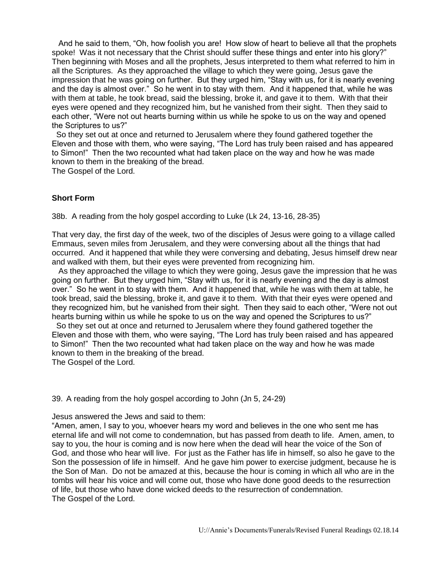And he said to them, "Oh, how foolish you are! How slow of heart to believe all that the prophets spoke! Was it not necessary that the Christ should suffer these things and enter into his glory?" Then beginning with Moses and all the prophets, Jesus interpreted to them what referred to him in all the Scriptures. As they approached the village to which they were going, Jesus gave the impression that he was going on further. But they urged him, "Stay with us, for it is nearly evening and the day is almost over." So he went in to stay with them. And it happened that, while he was with them at table, he took bread, said the blessing, broke it, and gave it to them. With that their eyes were opened and they recognized him, but he vanished from their sight. Then they said to each other, "Were not out hearts burning within us while he spoke to us on the way and opened the Scriptures to us?"

 So they set out at once and returned to Jerusalem where they found gathered together the Eleven and those with them, who were saying, "The Lord has truly been raised and has appeared to Simon!" Then the two recounted what had taken place on the way and how he was made known to them in the breaking of the bread.

The Gospel of the Lord.

#### **Short Form**

38b. A reading from the holy gospel according to Luke (Lk 24, 13-16, 28-35)

That very day, the first day of the week, two of the disciples of Jesus were going to a village called Emmaus, seven miles from Jerusalem, and they were conversing about all the things that had occurred. And it happened that while they were conversing and debating, Jesus himself drew near and walked with them, but their eyes were prevented from recognizing him.

 As they approached the village to which they were going, Jesus gave the impression that he was going on further. But they urged him, "Stay with us, for it is nearly evening and the day is almost over." So he went in to stay with them. And it happened that, while he was with them at table, he took bread, said the blessing, broke it, and gave it to them. With that their eyes were opened and they recognized him, but he vanished from their sight. Then they said to each other, "Were not out hearts burning within us while he spoke to us on the way and opened the Scriptures to us?"

 So they set out at once and returned to Jerusalem where they found gathered together the Eleven and those with them, who were saying, "The Lord has truly been raised and has appeared to Simon!" Then the two recounted what had taken place on the way and how he was made known to them in the breaking of the bread.

The Gospel of the Lord.

39. A reading from the holy gospel according to John (Jn 5, 24-29)

Jesus answered the Jews and said to them:

"Amen, amen, I say to you, whoever hears my word and believes in the one who sent me has eternal life and will not come to condemnation, but has passed from death to life. Amen, amen, to say to you, the hour is coming and is now here when the dead will hear the voice of the Son of God, and those who hear will live. For just as the Father has life in himself, so also he gave to the Son the possession of life in himself. And he gave him power to exercise judgment, because he is the Son of Man. Do not be amazed at this, because the hour is coming in which all who are in the tombs will hear his voice and will come out, those who have done good deeds to the resurrection of life, but those who have done wicked deeds to the resurrection of condemnation. The Gospel of the Lord.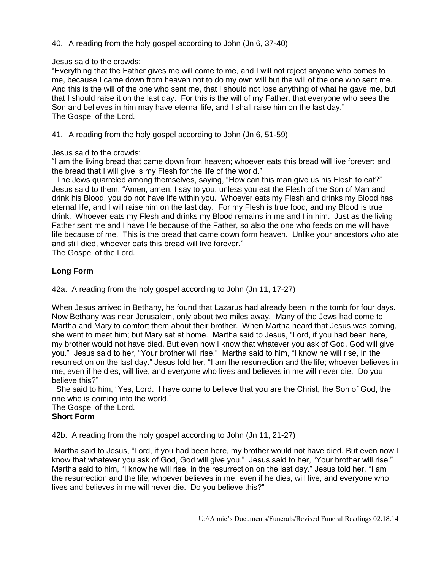40. A reading from the holy gospel according to John (Jn 6, 37-40)

Jesus said to the crowds:

"Everything that the Father gives me will come to me, and I will not reject anyone who comes to me, because I came down from heaven not to do my own will but the will of the one who sent me. And this is the will of the one who sent me, that I should not lose anything of what he gave me, but that I should raise it on the last day. For this is the will of my Father, that everyone who sees the Son and believes in him may have eternal life, and I shall raise him on the last day." The Gospel of the Lord.

41. A reading from the holy gospel according to John (Jn 6, 51-59)

Jesus said to the crowds:

"I am the living bread that came down from heaven; whoever eats this bread will live forever; and the bread that I will give is my Flesh for the life of the world."

 The Jews quarreled among themselves, saying, "How can this man give us his Flesh to eat?" Jesus said to them, "Amen, amen, I say to you, unless you eat the Flesh of the Son of Man and drink his Blood, you do not have life within you. Whoever eats my Flesh and drinks my Blood has eternal life, and I will raise him on the last day. For my Flesh is true food, and my Blood is true drink. Whoever eats my Flesh and drinks my Blood remains in me and I in him. Just as the living Father sent me and I have life because of the Father, so also the one who feeds on me will have life because of me. This is the bread that came down form heaven. Unlike your ancestors who ate and still died, whoever eats this bread will live forever."

The Gospel of the Lord.

#### **Long Form**

42a. A reading from the holy gospel according to John (Jn 11, 17-27)

When Jesus arrived in Bethany, he found that Lazarus had already been in the tomb for four days. Now Bethany was near Jerusalem, only about two miles away. Many of the Jews had come to Martha and Mary to comfort them about their brother. When Martha heard that Jesus was coming, she went to meet him; but Mary sat at home. Martha said to Jesus, "Lord, if you had been here, my brother would not have died. But even now I know that whatever you ask of God, God will give you." Jesus said to her, "Your brother will rise." Martha said to him, "I know he will rise, in the resurrection on the last day." Jesus told her, "I am the resurrection and the life; whoever believes in me, even if he dies, will live, and everyone who lives and believes in me will never die. Do you believe this?"

 She said to him, "Yes, Lord. I have come to believe that you are the Christ, the Son of God, the one who is coming into the world."

The Gospel of the Lord.

#### **Short Form**

42b. A reading from the holy gospel according to John (Jn 11, 21-27)

Martha said to Jesus, "Lord, if you had been here, my brother would not have died. But even now I know that whatever you ask of God, God will give you." Jesus said to her, "Your brother will rise." Martha said to him, "I know he will rise, in the resurrection on the last day." Jesus told her, "I am the resurrection and the life; whoever believes in me, even if he dies, will live, and everyone who lives and believes in me will never die. Do you believe this?"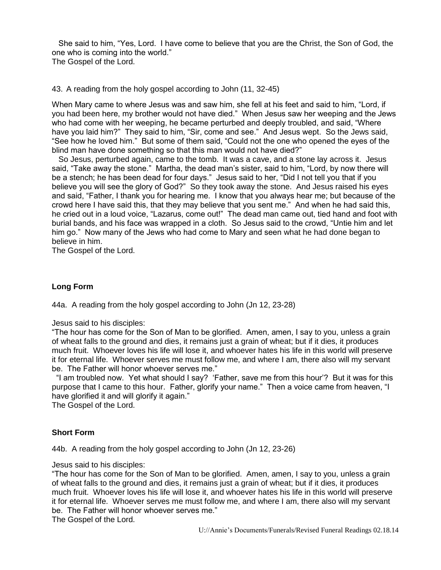She said to him, "Yes, Lord. I have come to believe that you are the Christ, the Son of God, the one who is coming into the world." The Gospel of the Lord.

43. A reading from the holy gospel according to John (11, 32-45)

When Mary came to where Jesus was and saw him, she fell at his feet and said to him, "Lord, if you had been here, my brother would not have died." When Jesus saw her weeping and the Jews who had come with her weeping, he became perturbed and deeply troubled, and said, "Where have you laid him?" They said to him, "Sir, come and see." And Jesus wept. So the Jews said, "See how he loved him." But some of them said, "Could not the one who opened the eyes of the blind man have done something so that this man would not have died?"

 So Jesus, perturbed again, came to the tomb. It was a cave, and a stone lay across it. Jesus said, "Take away the stone." Martha, the dead man's sister, said to him, "Lord, by now there will be a stench; he has been dead for four days." Jesus said to her, "Did I not tell you that if you believe you will see the glory of God?" So they took away the stone. And Jesus raised his eyes and said, "Father, I thank you for hearing me. I know that you always hear me; but because of the crowd here I have said this, that they may believe that you sent me." And when he had said this, he cried out in a loud voice, "Lazarus, come out!" The dead man came out, tied hand and foot with burial bands, and his face was wrapped in a cloth. So Jesus said to the crowd, "Untie him and let him go." Now many of the Jews who had come to Mary and seen what he had done began to believe in him.

The Gospel of the Lord.

#### **Long Form**

44a. A reading from the holy gospel according to John (Jn 12, 23-28)

Jesus said to his disciples:

"The hour has come for the Son of Man to be glorified. Amen, amen, I say to you, unless a grain of wheat falls to the ground and dies, it remains just a grain of wheat; but if it dies, it produces much fruit. Whoever loves his life will lose it, and whoever hates his life in this world will preserve it for eternal life. Whoever serves me must follow me, and where I am, there also will my servant be. The Father will honor whoever serves me."

 "I am troubled now. Yet what should I say? 'Father, save me from this hour'? But it was for this purpose that I came to this hour. Father, glorify your name." Then a voice came from heaven, "I have glorified it and will glorify it again."

The Gospel of the Lord.

#### **Short Form**

44b. A reading from the holy gospel according to John (Jn 12, 23-26)

Jesus said to his disciples:

"The hour has come for the Son of Man to be glorified. Amen, amen, I say to you, unless a grain of wheat falls to the ground and dies, it remains just a grain of wheat; but if it dies, it produces much fruit. Whoever loves his life will lose it, and whoever hates his life in this world will preserve it for eternal life. Whoever serves me must follow me, and where I am, there also will my servant be. The Father will honor whoever serves me."